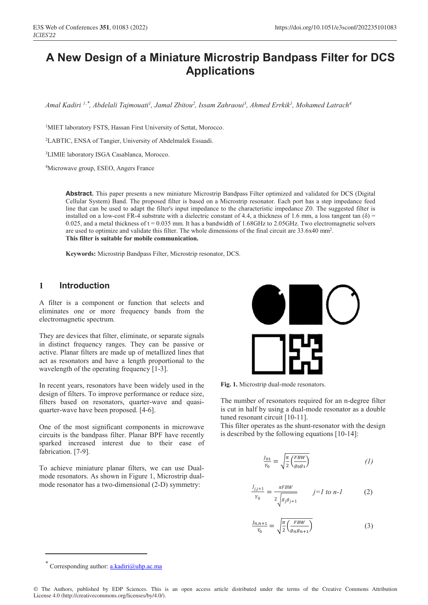# **A New Design of a Miniature Microstrip Bandpass Filter for DCS Applications**

*Amal Kadiri 1 , Abdelali Tajmouati1 , Jamal Zbitou2 , Issam Zahraoui3 , Ahmed Errkik1 , Mohamed Latrach4 ,\**

<sup>1</sup>MIET laboratory FSTS, Hassan First University of Settat, Morocco.

2LABTIC, ENSA of Tangier, University of Abdelmalek Essaadi.

3LIMIE laboratory ISGA Casablanca, Morocco.

4Microwave group, ESEO, Angers France

**Abstract.** This paper presents a new miniature Microstrip Bandpass Filter optimized and validated for DCS (Digital Cellular System) Band. The proposed filter is based on a Microstrip resonator. Each port has a step impedance feed line that can be used to adapt the filter's input impedance to the characteristic impedance Z0. The suggested filter is installed on a low-cost FR-4 substrate with a dielectric constant of 4.4, a thickness of 1.6 mm, a loss tangent tan  $(\delta)$  = 0.025, and a metal thickness of  $t = 0.035$  mm. It has a bandwidth of 1.68GHz to 2.05GHz. Two electromagnetic solvers are used to optimize and validate this filter. The whole dimensions of the final circuit are 33.6x40 mm2. **This filter is suitable for mobile communication.**

**Keywords:** Microstrip Bandpass Filter, Microstrip resonator, DCS.

#### **1 Introduction**

A filter is a component or function that selects and eliminates one or more frequency bands from the electromagnetic spectrum.

They are devices that filter, eliminate, or separate signals in distinct frequency ranges. They can be passive or active. Planar filters are made up of metallized lines that act as resonators and have a length proportional to the wavelength of the operating frequency [1-3].

In recent years, resonators have been widely used in the design of filters. To improve performance or reduce size, filters based on resonators, quarter-wave and quasiquarter-wave have been proposed. [4-6].

One of the most significant components in microwave circuits is the bandpass filter. Planar BPF have recently sparked increased interest due to their ease of fabrication. [7-9].

To achieve miniature planar filters, we can use Dualmode resonators. As shown in Figure 1, Microstrip dualmode resonator has a two-dimensional (2-D) symmetry:



**Fig. 1.** Microstrip dual-mode resonators.

The number of resonators required for an n-degree filter is cut in half by using a dual-mode resonator as a double tuned resonant circuit [10-11].

This filter operates as the shunt-resonator with the design is described by the following equations [10-14]:

$$
\frac{J_{01}}{Y_0} = \sqrt{\frac{\pi}{2} \left( \frac{FBW}{g_0 g_1} \right)} \tag{1}
$$

$$
\frac{J_{j,j+1}}{Y_0} = \frac{\pi F B W}{2 \sqrt{g_j g_{j+1}}} \qquad j = l \text{ to } n - l \tag{2}
$$

$$
\frac{J_{n,n+1}}{Y_0} = \sqrt{\frac{\pi}{2} \left( \frac{FBW}{g_n g_{n+1}} \right)}\tag{3}
$$

Corresponding author:  $a.kadiri@uhp.acma$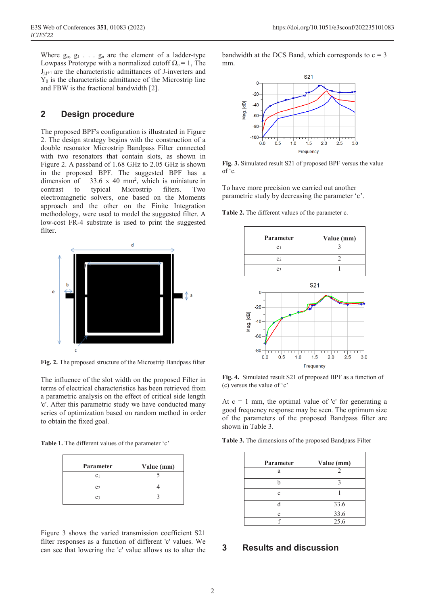Where  $g_0, g_1, \ldots, g_n$  are the element of a ladder-type Lowpass Prototype with a normalized cutoff  $\Omega_c = 1$ , The  $J_{i,j+1}$  are the characteristic admittances of J-inverters and  $Y_0$  is the characteristic admittance of the Microstrip line and FBW is the fractional bandwidth [2].

## **2 Design procedure**

The proposed BPF's configuration is illustrated in Figure 2. The design strategy begins with the construction of a double resonator Microstrip Bandpass Filter connected with two resonators that contain slots, as shown in Figure 2. A passband of 1.68 GHz to 2.05 GHz is shown in the proposed BPF. The suggested BPF has a dimension of  $33.6 \times 40$  mm<sup>2</sup>, which is miniature in contrast to typical Microstrip filters. Two electromagnetic solvers, one based on the Moments approach and the other on the Finite Integration methodology, were used to model the suggested filter. A low-cost FR-4 substrate is used to print the suggested filter.



**Fig. 2.** The proposed structure of the Microstrip Bandpass filter

The influence of the slot width on the proposed Filter in terms of electrical characteristics has been retrieved from a parametric analysis on the effect of critical side length 'c'. After this parametric study we have conducted many series of optimization based on random method in order to obtain the fixed goal.

**Table 1.** The different values of the parameter 'c'

| Parameter      | Value (mm) |
|----------------|------------|
| C <sub>1</sub> |            |
| C <sub>2</sub> |            |
| C3             |            |

Figure 3 shows the varied transmission coefficient S21 filter responses as a function of different 'c' values. We can see that lowering the 'c' value allows us to alter the

bandwidth at the DCS Band, which corresponds to  $c = 3$ mm.



**Fig. 3.** Simulated result S21 of proposed BPF versus the value of 'c.

To have more precision we carried out another parametric study by decreasing the parameter 'c'.

**Table 2.** The different values of the parameter c.



**Fig. 4.** Simulated result S21 of proposed BPF as a function of (c) versus the value of 'c'

At  $c = 1$  mm, the optimal value of 'c' for generating a good frequency response may be seen. The optimum size of the parameters of the proposed Bandpass filter are shown in Table 3.

**Table 3.** The dimensions of the proposed Bandpass Filter

| Parameter | Value (mm)          |
|-----------|---------------------|
| a         |                     |
|           |                     |
| c         |                     |
|           | 33.6                |
| e         | $\frac{33.6}{25.6}$ |
|           |                     |

### **3 Results and discussion**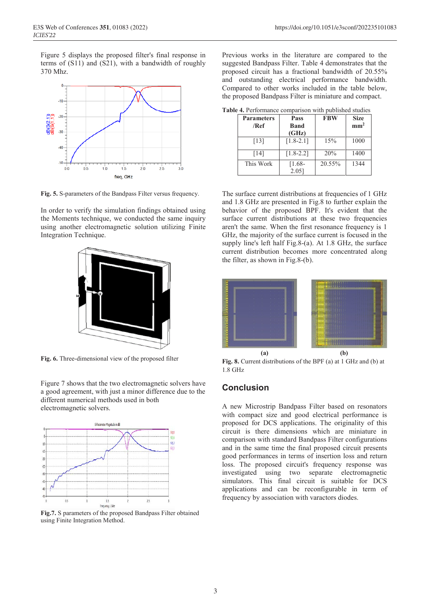Figure 5 displays the proposed filter's final response in terms of (S11) and (S21), with a bandwidth of roughly 370 Mhz.



**Fig. 5.** S-parameters of the Bandpass Filter versus frequency.

In order to verify the simulation findings obtained using the Moments technique, we conducted the same inquiry using another electromagnetic solution utilizing Finite Integration Technique.



**Fig. 6.** Three-dimensional view of the proposed filter

Figure 7 shows that the two electromagnetic solvers have a good agreement, with just a minor difference due to the different numerical methods used in both electromagnetic solvers.



**Fig.7.** S parameters of the proposed Bandpass Filter obtained using Finite Integration Method.

Previous works in the literature are compared to the suggested Bandpass Filter. Table 4 demonstrates that the proposed circuit has a fractional bandwidth of 20.55% and outstanding electrical performance bandwidth. Compared to other works included in the table below, the proposed Bandpass Filter is miniature and compact.

| <b>Table 4.</b> Performance comparison with published studies |  |  |  |  |  |
|---------------------------------------------------------------|--|--|--|--|--|
|---------------------------------------------------------------|--|--|--|--|--|

| <b>Parameters</b> | <b>Pass</b>   | <b>FBW</b> | <b>Size</b>     |
|-------------------|---------------|------------|-----------------|
| /Ref              | <b>Band</b>   |            | mm <sup>2</sup> |
|                   | (GHz)         |            |                 |
| [13]              | $[1.8 - 2.1]$ | 15%        | 1000            |
| [14]              | $[1.8 - 2.2]$ | 20%        | 1400            |
| This Work         | $[1.68-$      | 20.55%     | 1344            |
|                   | $2.05$ ]      |            |                 |

The surface current distributions at frequencies of 1 GHz and 1.8 GHz are presented in Fig.8 to further explain the behavior of the proposed BPF. It's evident that the surface current distributions at these two frequencies aren't the same. When the first resonance frequency is 1 GHz, the majority of the surface current is focused in the supply line's left half Fig.8-(a). At 1.8 GHz, the surface current distribution becomes more concentrated along the filter, as shown in Fig.8-(b).



**Fig. 8.** Current distributions of the BPF (a) at 1 GHz and (b) at 1.8 GHz

### **Conclusion**

A new Microstrip Bandpass Filter based on resonators with compact size and good electrical performance is proposed for DCS applications. The originality of this circuit is there dimensions which are miniature in comparison with standard Bandpass Filter configurations and in the same time the final proposed circuit presents good performances in terms of insertion loss and return loss. The proposed circuit's frequency response was investigated using two separate electromagnetic simulators. This final circuit is suitable for DCS applications and can be reconfigurable in term of frequency by association with varactors diodes.